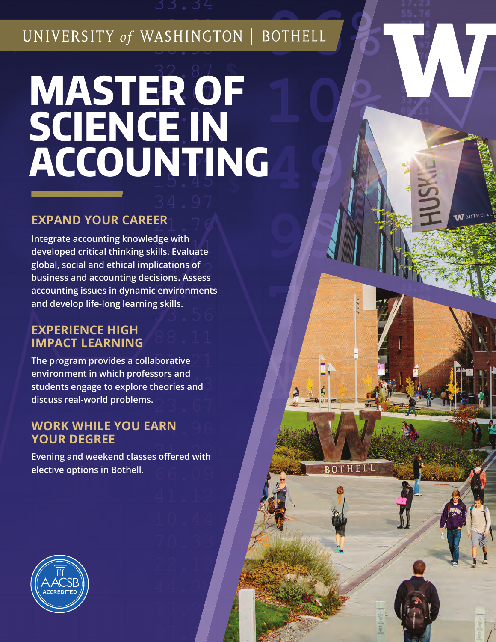UNIVERSITY of WASHINGTON | BOTHELL

# **MASTER OF SCIENCE IN ACCOUNTING**

# **EXPAND YOUR CAREER**

**Integrate accounting knowledge with developed critical thinking skills. Evaluate global, social and ethical implications of business and accounting decisions. Assess accounting issues in dynamic environments and develop life-long learning skills.** 

# **EXPERIENCE HIGH IMPACT LEARNING**

**The program provides a collaborative environment in which professors and students engage to explore theories and discuss real-world problems.** 

# **WORK WHILE YOU EARN YOUR DEGREE**

**Evening and weekend classes offered with elective options in Bothell.** 

THELL

 $\overline{RO}$